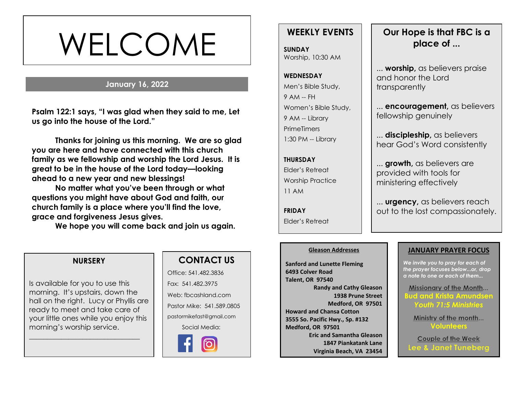# WELCOME

# **January 16, 2022**

**Psalm 122:1 says, "I was glad when they said to me, Let us go into the house of the Lord."**

**Thanks for joining us this morning. We are so glad you are here and have connected with this church family as we fellowship and worship the Lord Jesus. It is great to be in the house of the Lord today—looking ahead to a new year and new blessings!** 

**No matter what you've been through or what questions you might have about God and faith, our church family is a place where you'll find the love, grace and forgiveness Jesus gives.**

**We hope you will come back and join us again.**

# **WEEKLY EVENTS**

**SUNDAY** Worship, 10:30 AM

# **WEDNESDAY** Men's Bible Study, 9 AM -- FH Women's Bible Study, 9 AM -- Library **PrimeTimers** 1:30 PM -- Library

**THURSDAY** Elder's Retreat Worship Practice 11 AM

**FRIDAY** Elder's Retreat

# **Our Hope is that FBC is a place of ...**

... **worship,** as believers praise and honor the Lord transparently

... **encouragement,** as believers fellowship genuinely

... **discipleship,** as believers hear God's Word consistently

... **growth,** as believers are provided with tools for ministering effectively

... **urgency,** as believers reach out to the lost compassionately.

#### **Gleason Addresses**

**Sanford and Lunette Fleming 6493 Colver Road Talent, OR 97540 Randy and Cathy Gleason 1938 Prune Street Medford, OR 97501 Howard and Chansa Cotton 3555 So. Pacific Hwy., Sp. #132 Medford, OR 97501 Eric and Samantha Gleason 1847 Piankatank Lane Virginia Beach, VA 23454**

#### **JANUARY PRAYER FOCUS**

*We invite you to pray for each of the prayer focuses below...or, drop a note to one or each of them...*

Missionary of the Month... **Bud and Krista Amundsen** *Youth 71:5 Ministries*

Ministry of the month... **Volunteers**

Couple of the Week **Lee & Janet Tuneberg** 

#### **NURSERY**

Is available for you to use this morning. It's upstairs, down the hall on the right. Lucy or Phyllis are ready to meet and take care of your little ones while you enjoy this morning's worship service.

\_\_\_\_\_\_\_\_\_\_\_\_\_\_\_\_\_\_\_\_\_\_\_\_\_\_\_\_\_\_\_

# **CONTACT US**

Office: 541.482.3836 Fax: 541.482.3975 Web: fbcashland.com Pastor Mike: 541.589.0805 pastormikefast@gmail.com Social Media: